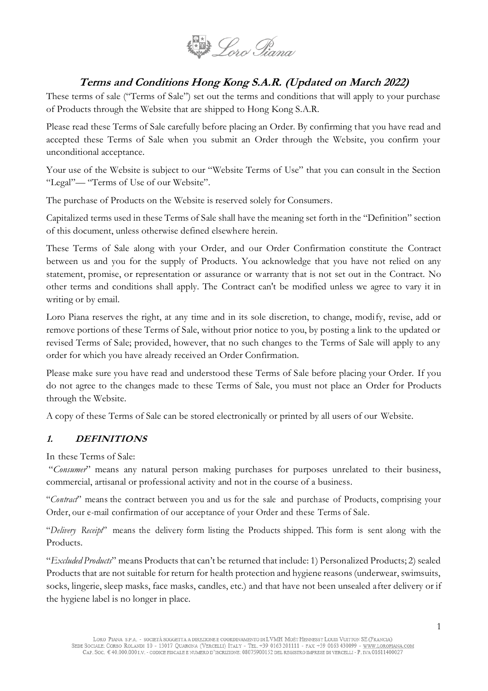

# **Terms and Conditions Hong Kong S.A.R. (Updated on March 2022)**

These terms of sale ("Terms of Sale") set out the terms and conditions that will apply to your purchase of Products through the Website that are shipped to Hong Kong S.A.R.

Please read these Terms of Sale carefully before placing an Order. By confirming that you have read and accepted these Terms of Sale when you submit an Order through the Website, you confirm your unconditional acceptance.

Your use of the Website is subject to our "Website Terms of Use" that you can consult in the Section "Legal"— "Terms of Use of our Website".

The purchase of Products on the Website is reserved solely for Consumers.

Capitalized terms used in these Terms of Sale shall have the meaning set forth in the "Definition" section of this document, unless otherwise defined elsewhere herein.

These Terms of Sale along with your Order, and our Order Confirmation constitute the Contract between us and you for the supply of Products. You acknowledge that you have not relied on any statement, promise, or representation or assurance or warranty that is not set out in the Contract. No other terms and conditions shall apply. The Contract can't be modified unless we agree to vary it in writing or by email.

Loro Piana reserves the right, at any time and in its sole discretion, to change, modify, revise, add or remove portions of these Terms of Sale, without prior notice to you, by posting a link to the updated or revised Terms of Sale; provided, however, that no such changes to the Terms of Sale will apply to any order for which you have already received an Order Confirmation.

Please make sure you have read and understood these Terms of Sale before placing your Order. If you do not agree to the changes made to these Terms of Sale, you must not place an Order for Products through the Website.

A copy of these Terms of Sale can be stored electronically or printed by all users of our Website.

#### **1. DEFINITIONS**

In these Terms of Sale:

"*Consumer*" means any natural person making purchases for purposes unrelated to their business, commercial, artisanal or professional activity and not in the course of a business.

"*Contract*" means the contract between you and us for the sale and purchase of Products, comprising your Order, our e-mail confirmation of our acceptance of your Order and these Terms of Sale.

"*Delivery Receipt*" means the delivery form listing the Products shipped. This form is sent along with the Products.

"*Excluded Products*" means Products that can't be returned that include: 1) Personalized Products; 2) sealed Products that are not suitable for return for health protection and hygiene reasons (underwear, swimsuits, socks, lingerie, sleep masks, face masks, candles, etc.) and that have not been unsealed after delivery or if the hygiene label is no longer in place.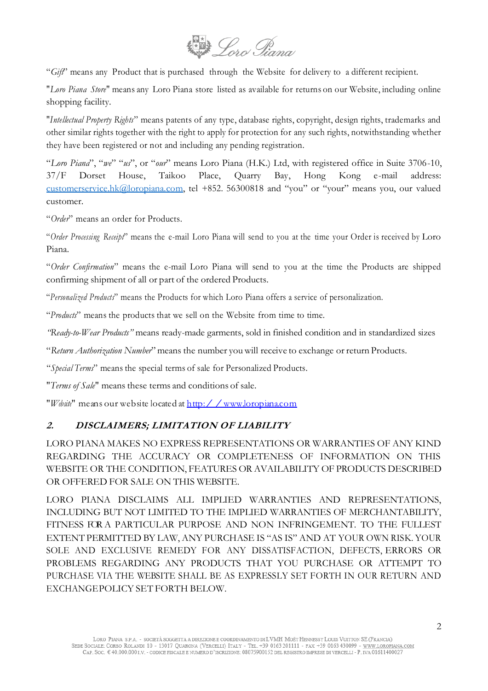

"*Gift*" means any Product that is purchased through the Website for delivery to a different recipient.

"*Loro Piana Store*" means any Loro Piana store listed as available for returns on our Website, including online shopping facility.

"*Intellectual Property Rights*" means patents of any type, database rights, copyright, design rights, trademarks and other similar rights together with the right to apply for protection for any such rights, notwithstanding whether they have been registered or not and including any pending registration.

"*Loro Piana*", "*we*" "*us*", or "*our*" means Loro Piana (H.K.) Ltd, with registered office in Suite 3706-10, 37/F Dorset House, Taikoo Place, Quarry Bay, Hong Kong e-mail address: [customerservice.hk@loropiana.c](mailto:customerservice.hk@loropiana.)om, tel +852. 56300818 and "you" or "your" means you, our valued customer.

"*Order*" means an order for Products.

"*Order Processing Receipt*" means the e-mail Loro Piana will send to you at the time your Order is received by Loro Piana.

"*Order Confirmation*" means the e-mail Loro Piana will send to you at the time the Products are shipped confirming shipment of all or part of the ordered Products.

"*Personalized Products*" means the Products for which Loro Piana offers a service of personalization.

"*Products*" means the products that we sell on the Website from time to time.

*"Ready-to-Wear Products"* means ready-made garments, sold in finished condition and in standardized sizes

"*Return Authorization Number*" means the number you will receive to exchange or return Products.

"*Special Terms*" means the special terms of sale for Personalized Products.

"*Terms of Sale*" means these terms and conditions of sale.

"*Website*" means our website located at [http://www.loropiana.com](http://www.loropiana.com/)

# **2. DISCLAIMERS; LIMITATION OF LIABILITY**

LORO PIANA MAKES NO EXPRESS REPRESENTATIONS OR WARRANTIES OF ANY KIND REGARDING THE ACCURACY OR COMPLETENESS OF INFORMATION ON THIS WEBSITE OR THE CONDITION, FEATURES OR AVAILABILITY OF PRODUCTS DESCRIBED OR OFFERED FOR SALE ON THIS WEBSITE.

LORO PIANA DISCLAIMS ALL IMPLIED WARRANTIES AND REPRESENTATIONS, INCLUDING BUT NOT LIMITED TO THE IMPLIED WARRANTIES OF MERCHANTABILITY, FITNESS FOR A PARTICULAR PURPOSE AND NON INFRINGEMENT. TO THE FULLEST EXTENT PERMITTED BY LAW, ANY PURCHASE IS "AS IS" AND AT YOUR OWN RISK. YOUR SOLE AND EXCLUSIVE REMEDY FOR ANY DISSATISFACTION, DEFECTS, ERRORS OR PROBLEMS REGARDING ANY PRODUCTS THAT YOU PURCHASE OR ATTEMPT TO PURCHASE VIA THE WEBSITE SHALL BE AS EXPRESSLY SET FORTH IN OUR RETURN AND EXCHANGEPOLICY SET FORTH BELOW.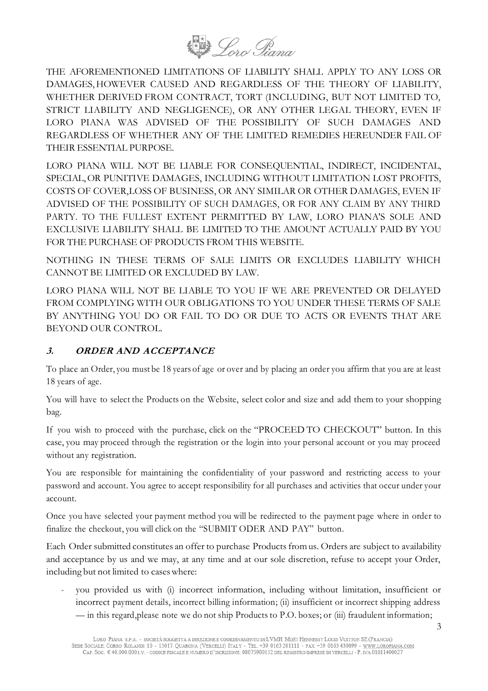

THE AFOREMENTIONED LIMITATIONS OF LIABILITY SHALL APPLY TO ANY LOSS OR DAMAGES,HOWEVER CAUSED AND REGARDLESS OF THE THEORY OF LIABILITY, WHETHER DERIVED FROM CONTRACT, TORT (INCLUDING, BUT NOT LIMITED TO, STRICT LIABILITY AND NEGLIGENCE), OR ANY OTHER LEGAL THEORY, EVEN IF LORO PIANA WAS ADVISED OF THE POSSIBILITY OF SUCH DAMAGES AND REGARDLESS OF WHETHER ANY OF THE LIMITED REMEDIES HEREUNDER FAIL OF THEIR ESSENTIAL PURPOSE.

LORO PIANA WILL NOT BE LIABLE FOR CONSEQUENTIAL, INDIRECT, INCIDENTAL, SPECIAL,OR PUNITIVE DAMAGES, INCLUDING WITHOUT LIMITATION LOST PROFITS, COSTS OF COVER,LOSS OF BUSINESS, OR ANY SIMILAR OR OTHER DAMAGES, EVEN IF ADVISED OF THE POSSIBILITY OF SUCH DAMAGES, OR FOR ANY CLAIM BY ANY THIRD PARTY. TO THE FULLEST EXTENT PERMITTED BY LAW, LORO PIANA'S SOLE AND EXCLUSIVE LIABILITY SHALL BE LIMITED TO THE AMOUNT ACTUALLY PAID BY YOU FOR THE PURCHASE OF PRODUCTS FROM THIS WEBSITE.

NOTHING IN THESE TERMS OF SALE LIMITS OR EXCLUDES LIABILITY WHICH CANNOT BE LIMITED OR EXCLUDED BY LAW.

LORO PIANA WILL NOT BE LIABLE TO YOU IF WE ARE PREVENTED OR DELAYED FROM COMPLYING WITH OUR OBLIGATIONS TO YOU UNDER THESE TERMS OF SALE BY ANYTHING YOU DO OR FAIL TO DO OR DUE TO ACTS OR EVENTS THAT ARE BEYOND OUR CONTROL.

#### **3. ORDER AND ACCEPTANCE**

To place an Order, you must be 18 years of age or over and by placing an order you affirm that you are at least 18 years of age.

You will have to select the Products on the Website, select color and size and add them to your shopping bag.

If you wish to proceed with the purchase, click on the "PROCEED TO CHECKOUT" button. In this case, you may proceed through the registration or the login into your personal account or you may proceed without any registration.

You are responsible for maintaining the confidentiality of your password and restricting access to your password and account. You agree to accept responsibility for all purchases and activities that occur under your account.

Once you have selected your payment method you will be redirected to the payment page where in order to finalize the checkout, you will click on the "SUBMIT ODER AND PAY" button.

Each Order submitted constitutes an offer to purchase Products fromus. Orders are subject to availability and acceptance by us and we may, at any time and at our sole discretion, refuse to accept your Order, including but not limited to caseswhere:

you provided us with (i) incorrect information, including without limitation, insufficient or incorrect payment details, incorrect billing information; (ii) insufficient or incorrect shipping address — in this regard,please note we do not ship Products to P.O. boxes; or (iii) fraudulent information;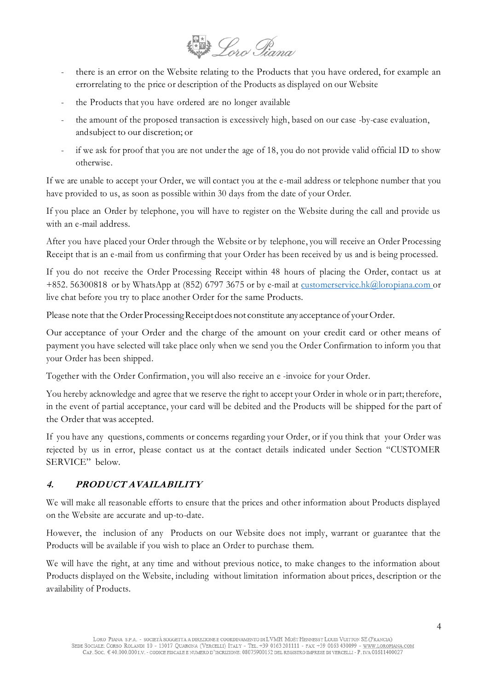

- there is an error on the Website relating to the Products that you have ordered, for example an errorrelating to the price or description of the Products as displayed on our Website
- the Products that you have ordered are no longer available
- the amount of the proposed transaction is excessively high, based on our case -by-case evaluation, andsubject to our discretion; or
- if we ask for proof that you are not under the age of 18, you do not provide valid official ID to show otherwise.

If we are unable to accept your Order, we will contact you at the e-mail address or telephone number that you have provided to us, as soon as possible within 30 days from the date of your Order.

If you place an Order by telephone, you will have to register on the Website during the call and provide us with an e-mail address.

After you have placed your Order through the Website or by telephone, you will receive an Order Processing Receipt that is an e-mail from us confirming that your Order has been received by us and is being processed.

If you do not receive the Order Processing Receipt within 48 hours of placing the Order, contact us at +852. 56300818 or by WhatsApp at (852) 6797 3675 or by e-mail at [customerservice.hk@loropiana.com](mailto:customerservice.hk@loropiana.com) or live chat before you try to place another Order for the same Products.

Please note that the Order Processing Receipt does not constitute any acceptance of your Order.

Our acceptance of your Order and the charge of the amount on your credit card or other means of payment you have selected will take place only when we send you the Order Confirmation to inform you that your Order has been shipped.

Together with the Order Confirmation, you will also receive an e -invoice for your Order.

You hereby acknowledge and agree that we reserve the right to accept your Order in whole or in part; therefore, in the event of partial acceptance, your card will be debited and the Products will be shipped for the part of the Order that was accepted.

If you have any questions, comments or concerns regarding your Order, or if you think that your Order was rejected by us in error, please contact us at the contact details indicated under Section "CUSTOMER SERVICE" below.

# **4. PRODUCT AVAILABILITY**

We will make all reasonable efforts to ensure that the prices and other information about Products displayed on the Website are accurate and up-to-date.

However, the inclusion of any Products on our Website does not imply, warrant or guarantee that the Products will be available if you wish to place an Order to purchase them.

We will have the right, at any time and without previous notice, to make changes to the information about Products displayed on the Website, including without limitation information about prices, description or the availability of Products.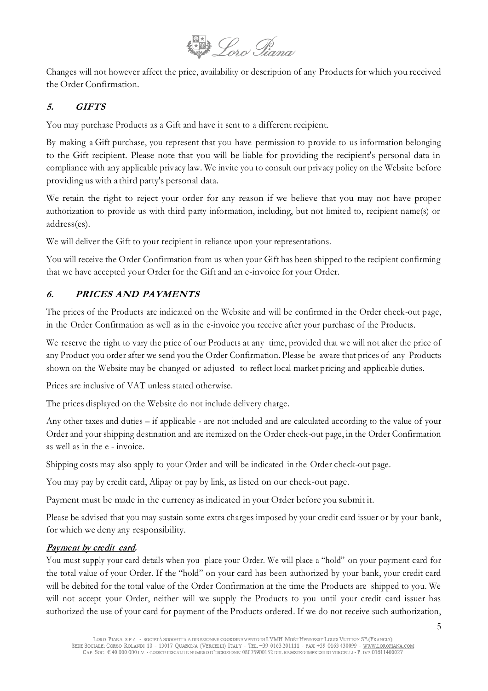

Changes will not however affect the price, availability or description of any Productsfor which you received the Order Confirmation.

## **5. GIFTS**

You may purchase Products as a Gift and have it sent to a different recipient.

By making a Gift purchase, you represent that you have permission to provide to us information belonging to the Gift recipient. Please note that you will be liable for providing the recipient's personal data in compliance with any applicable privacy law. We invite you to consult our privacy policy on the Website before providing us with a third party's personal data.

We retain the right to reject your order for any reason if we believe that you may not have proper authorization to provide us with third party information, including, but not limited to, recipient name(s) or address(es).

We will deliver the Gift to your recipient in reliance upon your representations.

You will receive the Order Confirmation from us when your Gift has been shipped to the recipient confirming that we have accepted your Order for the Gift and an e-invoice for your Order.

#### **6. PRICES AND PAYMENTS**

The prices of the Products are indicated on the Website and will be confirmed in the Order check-out page, in the Order Confirmation as well as in the e-invoice you receive after your purchase of the Products.

We reserve the right to vary the price of our Products at any time, provided that we will not alter the price of any Product you order after we send you the Order Confirmation. Please be aware that prices of any Products shown on the Website may be changed or adjusted to reflect local market pricing and applicable duties.

Prices are inclusive of VAT unless stated otherwise.

The prices displayed on the Website do not include delivery charge.

Any other taxes and duties – if applicable - are not included and are calculated according to the value of your Order and your shipping destination and are itemized on the Order check-out page, in the Order Confirmation as well as in the e - invoice.

Shipping costs may also apply to your Order and will be indicated in the Order check-out page.

You may pay by credit card, Alipay or pay by link, as listed on our check-out page.

Payment must be made in the currency asindicated in your Order before you submit it.

Please be advised that you may sustain some extra charges imposed by your credit card issuer or by your bank, for which we deny any responsibility.

#### **Payment by credit card.**

You must supply your card details when you place your Order. We will place a "hold" on your payment card for the total value of your Order. If the "hold" on your card has been authorized by your bank, your credit card will be debited for the total value of the Order Confirmation at the time the Products are shipped to you. We will not accept your Order, neither will we supply the Products to you until your credit card issuer has authorized the use of your card for payment of the Products ordered. If we do not receive such authorization,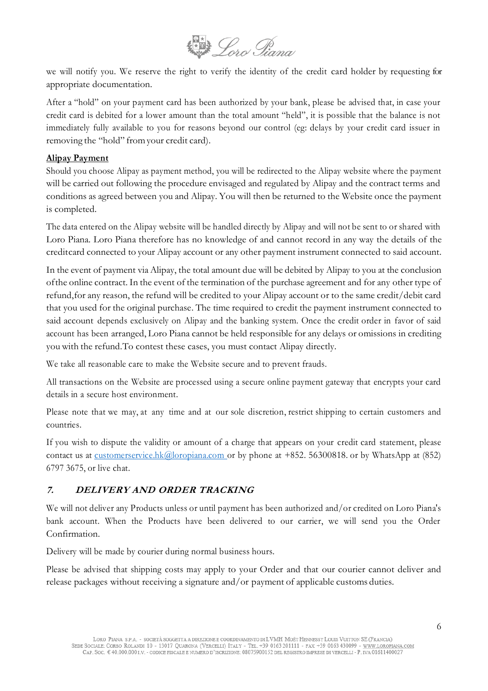

we will notify you. We reserve the right to verify the identity of the credit card holder by requesting for appropriate documentation.

After a "hold" on your payment card has been authorized by your bank, please be advised that, in case your credit card is debited for a lower amount than the total amount "held", it is possible that the balance is not immediately fully available to you for reasons beyond our control (eg: delays by your credit card issuer in removing the "hold" fromyour credit card).

#### **Alipay Payment**

Should you choose Alipay as payment method, you will be redirected to the Alipay website where the payment will be carried out following the procedure envisaged and regulated by Alipay and the contract terms and conditions as agreed between you and Alipay. You will then be returned to the Website once the payment is completed.

The data entered on the Alipay website will be handled directly by Alipay and will not be sent to or shared with Loro Piana. Loro Piana therefore has no knowledge of and cannot record in any way the details of the creditcard connected to your Alipay account or any other payment instrument connected to said account.

In the event of payment via Alipay, the total amount due will be debited by Alipay to you at the conclusion ofthe online contract. In the event of the termination of the purchase agreement and for any other type of refund,for any reason, the refund will be credited to your Alipay account or to the same credit/debit card that you used for the original purchase. The time required to credit the payment instrument connected to said account depends exclusively on Alipay and the banking system. Once the credit order in favor of said account has been arranged, Loro Piana cannot be held responsible for any delays or omissions in crediting you with the refund.To contest these cases, you must contact Alipay directly.

We take all reasonable care to make the Website secure and to prevent frauds.

All transactions on the Website are processed using a secure online payment gateway that encrypts your card details in a secure host environment.

Please note that we may, at any time and at our sole discretion, restrict shipping to certain customers and countries.

If you wish to dispute the validity or amount of a charge that appears on your credit card statement, please contact us at [customerservice.hk@loropiana.com](mailto:customerservice.hk@loropiana.com) or by phone at +852. 56300818. or by WhatsApp at (852) 6797 3675, or live chat.

#### **7. DELIVERY AND ORDER TRACKING**

We will not deliver any Products unless or until payment has been authorized and/or credited on Loro Piana's bank account. When the Products have been delivered to our carrier, we will send you the Order Confirmation.

Delivery will be made by courier during normal business hours.

Please be advised that shipping costs may apply to your Order and that our courier cannot deliver and release packages without receiving a signature and/or payment of applicable customs duties.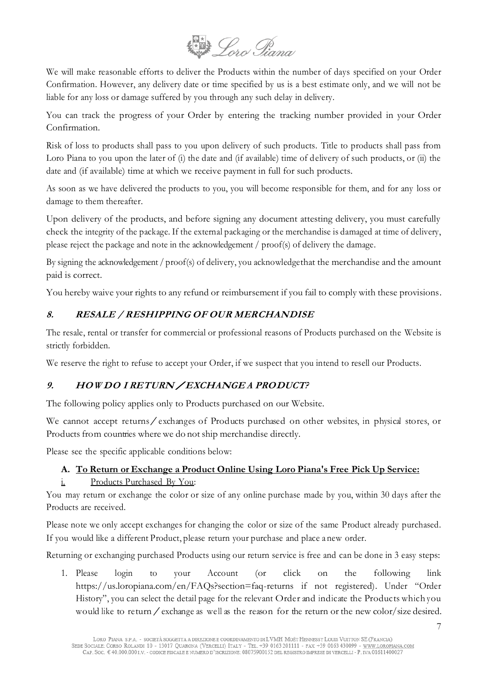

We will make reasonable efforts to deliver the Products within the number of days specified on your Order Confirmation. However, any delivery date or time specified by us is a best estimate only, and we will not be liable for any loss or damage suffered by you through any such delay in delivery.

You can track the progress of your Order by entering the tracking number provided in your Order Confirmation.

Risk of loss to products shall pass to you upon delivery of such products. Title to products shall pass from Loro Piana to you upon the later of (i) the date and (if available) time of delivery of such products, or (ii) the date and (if available) time at which we receive payment in full for such products.

As soon as we have delivered the products to you, you will become responsible for them, and for any loss or damage to them thereafter.

Upon delivery of the products, and before signing any document attesting delivery, you must carefully check the integrity of the package. If the external packaging or the merchandise is damaged at time of delivery, please reject the package and note in the acknowledgement / proof(s) of delivery the damage.

By signing the acknowledgement / proof(s) of delivery, you acknowledgethat the merchandise and the amount paid is correct.

You hereby waive your rights to any refund or reimbursement if you fail to comply with these provisions.

# **8. RESALE / RESHIPPING OF OUR MERCHANDISE**

The resale, rental or transfer for commercial or professional reasons of Products purchased on the Website is strictly forbidden.

We reserve the right to refuse to accept your Order, if we suspect that you intend to resell our Products.

# 9. HOWDO I RETURN / EXCHANGE A PRODUCT?

The following policy applies only to Products purchased on our Website.

We cannot accept returns exchanges of Products purchased on other websites, in physical stores, or Products from countries where we do not ship merchandise directly.

Please see the specific applicable conditions below:

# **A. To Return or Exchange a Product Online Using Loro Piana's Free Pick Up Service:**

# i. Products Purchased By You:

You may return or exchange the color or size of any online purchase made by you, within 30 days after the Products are received.

Please note we only accept exchanges for changing the color or size of the same Product already purchased. If you would like a different Product, please return your purchase and place a new order.

Returning or exchanging purchased Products using our return service is free and can be done in 3 easy steps:

1. Please login to your Account (or click on the following link https://us.loropiana.com/en/FAQs?section=faq-returns if not registered). Under "Order History", you can select the detail page for the relevant Order and indicate the Products which you would like to return/exchange as well as the reason for the return or the new color/size desired.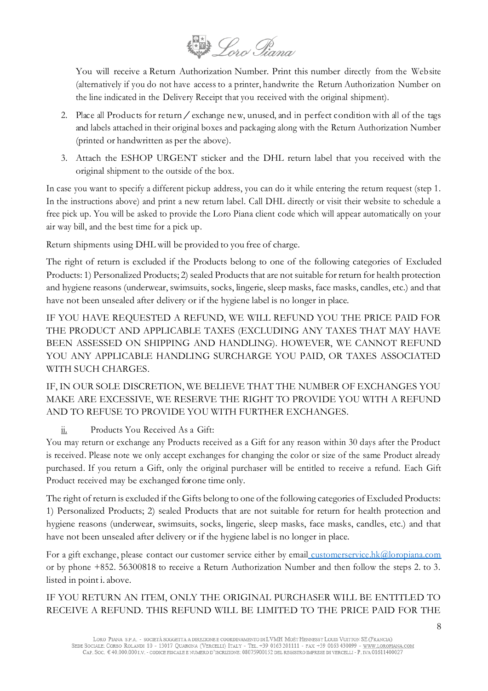

You will receive a Return Authorization Number. Print this number directly from the Website (alternatively if you do not have access to a printer, handwrite the Return Authorization Number on the line indicated in the Delivery Receipt that you received with the original shipment).

- 2. Place all Products for return  $\ell$  exchange new, unused, and in perfect condition with all of the tags and labels attached in their original boxes and packaging along with the Return Authorization Number (printed or handwritten as per the above).
- 3. Attach the ESHOP URGENT sticker and the DHL return label that you received with the original shipment to the outside of the box.

In case you want to specify a different pickup address, you can do it while entering the return request (step 1. In the instructions above) and print a new return label. Call DHL directly or visit their website to schedule a free pick up. You will be asked to provide the Loro Piana client code which will appear automatically on your air way bill, and the best time for a pick up.

Return shipments using DHL will be provided to you free of charge.

The right of return is excluded if the Products belong to one of the following categories of Excluded Products: 1) Personalized Products; 2) sealed Products that are not suitable for return for health protection and hygiene reasons (underwear, swimsuits, socks, lingerie, sleep masks, face masks, candles, etc.) and that have not been unsealed after delivery or if the hygiene label is no longer in place.

IF YOU HAVE REQUESTED A REFUND, WE WILL REFUND YOU THE PRICE PAID FOR THE PRODUCT AND APPLICABLE TAXES (EXCLUDING ANY TAXES THAT MAY HAVE BEEN ASSESSED ON SHIPPING AND HANDLING). HOWEVER, WE CANNOT REFUND YOU ANY APPLICABLE HANDLING SURCHARGE YOU PAID, OR TAXES ASSOCIATED WITH SUCH CHARGES.

IF, IN OUR SOLE DISCRETION, WE BELIEVE THAT THE NUMBER OF EXCHANGES YOU MAKE ARE EXCESSIVE, WE RESERVE THE RIGHT TO PROVIDE YOU WITH A REFUND AND TO REFUSE TO PROVIDE YOU WITH FURTHER EXCHANGES.

ii. Products You Received As a Gift:

You may return or exchange any Products received as a Gift for any reason within 30 days after the Product is received. Please note we only accept exchanges for changing the color or size of the same Product already purchased. If you return a Gift, only the original purchaser will be entitled to receive a refund. Each Gift Product received may be exchanged for one time only.

The right of return is excluded if the Gifts belong to one of the following categories of Excluded Products: 1) Personalized Products; 2) sealed Products that are not suitable for return for health protection and hygiene reasons (underwear, swimsuits, socks, lingerie, sleep masks, face masks, candles, etc.) and that have not been unsealed after delivery or if the hygiene label is no longer in place.

For a gift exchange, please contact our customer service either by email [customerservice.hk@loropiana.com](mailto:%20customerservice.hk@loropiana.com) or by phone +852. 56300818 to receive a Return Authorization Number and then follow the steps 2. to 3. listed in point i. above.

IF YOU RETURN AN ITEM, ONLY THE ORIGINAL PURCHASER WILL BE ENTITLED TO RECEIVE A REFUND. THIS REFUND WILL BE LIMITED TO THE PRICE PAID FOR THE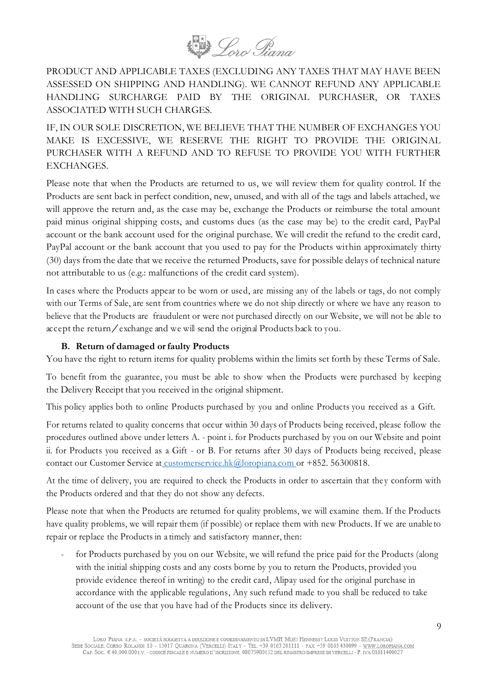

PRODUCT AND APPLICABLE TAXES (EXCLUDING ANY TAXES THAT MAY HAVE BEEN ASSESSED ON SHIPPING AND HANDLING). WE CANNOT REFUND ANY APPLICABLE HANDLING SURCHARGE PAID BY THE ORIGINAL PURCHASER, OR TAXES ASSOCIATED WITH SUCH CHARGES.

IF, IN OUR SOLE DISCRETION, WE BELIEVE THAT THE NUMBER OF EXCHANGES YOU MAKE IS EXCESSIVE, WE RESERVE THE RIGHT TO PROVIDE THE ORIGINAL PURCHASER WITH A REFUND AND TO REFUSE TO PROVIDE YOU WITH FURTHER EXCHANGES.

Please note that when the Products are returned to us, we will review them for quality control. If the Products are sent back in perfect condition, new, unused, and with all of the tags and labels attached, we will approve the return and, as the case may be, exchange the Products or reimburse the total amount paid minus original shipping costs, and customs dues (as the case may be) to the credit card, PayPal account or the bank account used for the original purchase. We will credit the refund to the credit card, PayPal account or the bank account that you used to pay for the Products within approximately thirty (30) days from the date that we receive the returned Products, save for possible delays of technical nature not attributable to us (e.g.: malfunctions of the credit card system).

In cases where the Products appear to be worn or used, are missing any of the labels or tags, do not comply with our Terms of Sale, are sent from countries where we do not ship directly or where we have any reason to believe that the Products are fraudulent or were not purchased directly on our Website, we will not be able to accept the return/exchange and we will send the original Products back to you.

#### **B. Return of damaged orfaulty Products**

You have the right to return items for quality problems within the limits set forth by these Terms of Sale.

To benefit from the guarantee, you must be able to show when the Products were purchased by keeping the Delivery Receipt that you received in the original shipment.

This policy applies both to online Products purchased by you and online Products you received as a Gift.

For returns related to quality concerns that occur within 30 days of Products being received, please follow the procedures outlined above under letters A. - point i. for Products purchased by you on our Website and point ii. for Products you received as a Gift - or B. For returns after 30 days of Products being received, please contact our Customer Service at [customerservice.hk@loropiana.com](mailto:%20customerservice.hk@loropiana.com) or +852. 56300818.

At the time of delivery, you are required to check the Products in order to ascertain that they conform with the Products ordered and that they do not show any defects.

Please note that when the Products are returned for quality problems, we will examine them. If the Products have quality problems, we will repair them (if possible) or replace them with new Products. If we are unable to repair or replace the Products in a timely and satisfactory manner, then:

for Products purchased by you on our Website, we will refund the price paid for the Products (along with the initial shipping costs and any costs borne by you to return the Products, provided you provide evidence thereof in writing) to the credit card, Alipay used for the original purchase in accordance with the applicable regulations, Any such refund made to you shall be reduced to take account of the use that you have had of the Products since its delivery.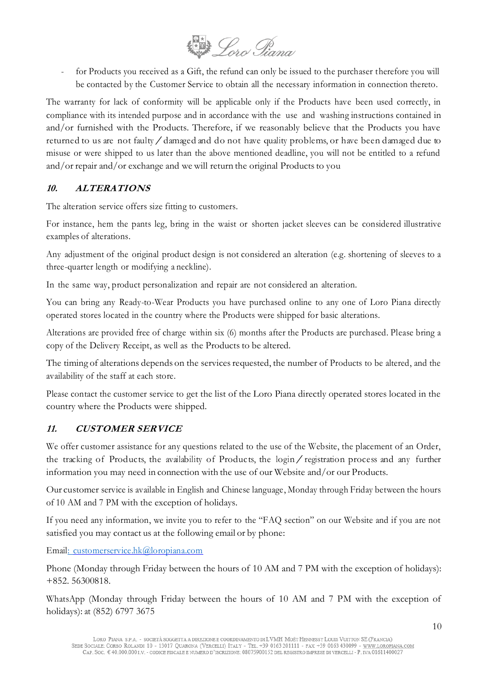

for Products you received as a Gift, the refund can only be issued to the purchaser therefore you will be contacted by the Customer Service to obtain all the necessary information in connection thereto.

The warranty for lack of conformity will be applicable only if the Products have been used correctly, in compliance with its intended purpose and in accordance with the use and washing instructions contained in and/or furnished with the Products. Therefore, if we reasonably believe that the Products you have returned to us are not faulty/damaged and do not have quality problems, or have been damaged due to misuse or were shipped to us later than the above mentioned deadline, you will not be entitled to a refund and/or repair and/or exchange and we will return the original Products to you

#### **10. ALTERATIONS**

The alteration service offers size fitting to customers.

For instance, hem the pants leg, bring in the waist or shorten jacket sleeves can be considered illustrative examples of alterations.

Any adjustment of the original product design is not considered an alteration (e.g. shortening of sleeves to a three-quarter length or modifying a neckline).

In the same way, product personalization and repair are not considered an alteration.

You can bring any Ready-to-Wear Products you have purchased online to any one of Loro Piana directly operated stores located in the country where the Products were shipped for basic alterations.

Alterations are provided free of charge within six (6) months after the Products are purchased. Please bring a copy of the Delivery Receipt, as well as the Products to be altered.

The timing of alterations depends on the services requested, the number of Products to be altered, and the availability of the staff at each store.

Please contact the customer service to get the list of the Loro Piana directly operated stores located in the country where the Products were shipped.

# **11. CUSTOMER SERVICE**

We offer customer assistance for any questions related to the use of the Website, the placement of an Order, the tracking of Products, the availability of Products, the login/registration process and any further information you may need in connection with the use of our Website and/or our Products.

Our customer service is available in English and Chinese language, Monday through Friday between the hours of 10 AM and 7 PM with the exception of holidays.

If you need any information, we invite you to refer to the "FAQ section" on our Website and if you are not satisfied you may contact us at the following email or by phone:

Email: [customerservice.hk@loropiana.com](mailto::%20customerservice.hk@loropiana.com)

Phone (Monday through Friday between the hours of 10 AM and 7 PM with the exception of holidays): +852. 56300818.

WhatsApp (Monday through Friday between the hours of 10 AM and 7 PM with the exception of holidays): at (852) 6797 3675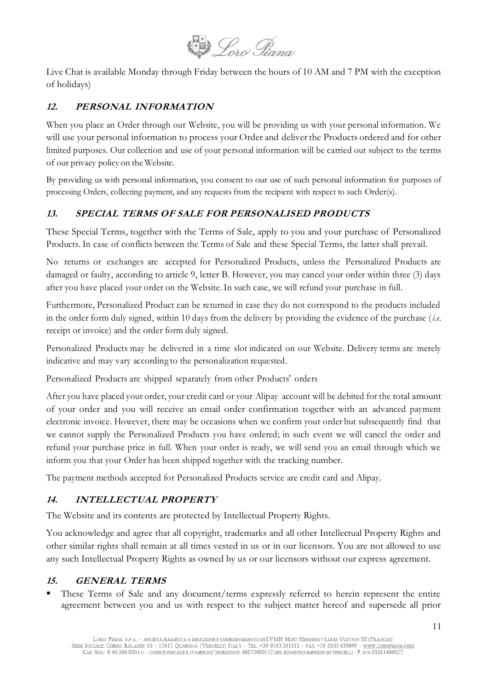

Live Chat is available Monday through Friday between the hours of 10 AM and 7 PM with the exception of holidays)

# **12. PERSONAL INFORMATION**

When you place an Order through our Website, you will be providing us with your personal information. We will use your personal information to process your Order and deliver the Products ordered and for other limited purposes. Our collection and use of your personal information will be carried out subject to the terms of our privacy policy on the Website.

By providing us with personal information, you consent to our use of such personal information for purposes of processing Orders, collecting payment, and any requests from the recipient with respect to such Order(s).

## **13. SPECIAL TERMS OF SALE FOR PERSONALISED PRODUCTS**

These Special Terms, together with the Terms of Sale, apply to you and your purchase of Personalized Products. In case of conflicts between the Terms of Sale and these Special Terms, the latter shall prevail.

No returns or exchanges are accepted for Personalized Products, unless the Personalized Products are damaged or faulty, according to article 9, letter B. However, you may cancel your order within three (3) days after you have placed your order on the Website.In such case, we will refund your purchase in full.

Furthermore, Personalized Product can be returned in case they do not correspond to the products included in the order form duly signed, within 10 days from the delivery by providing the evidence of the purchase (*i.e.*  receipt or invoice) and the order form duly signed.

Personalized Products may be delivered in a time slot indicated on our Website. Delivery terms are merely indicative and may vary according to the personalization requested.

Personalized Products are shipped separately from other Products' orders

After you have placed your order, your credit card or your Alipay account will be debited for the total amount of your order and you will receive an email order confirmation together with an advanced payment electronic invoice. However, there may be occasions when we confirm your order but subsequently find that we cannot supply the Personalized Products you have ordered; in such event we will cancel the order and refund your purchase price in full. When your order is ready, we will send you an email through which we inform you that your Order has been shipped together with the tracking number.

The payment methods accepted for Personalized Products service are credit card and Alipay.

# **14. INTELLECTUAL PROPERTY**

The Website and its contents are protected by Intellectual Property Rights.

You acknowledge and agree that all copyright, trademarks and all other Intellectual Property Rights and other similar rights shall remain at all times vested in us or in our licensors. You are not allowed to use any such Intellectual Property Rights as owned by us or our licensors without our express agreement.

#### **15. GENERAL TERMS**

These Terms of Sale and any document/terms expressly referred to herein represent the entire agreement between you and us with respect to the subject matter hereof and supersede all prior